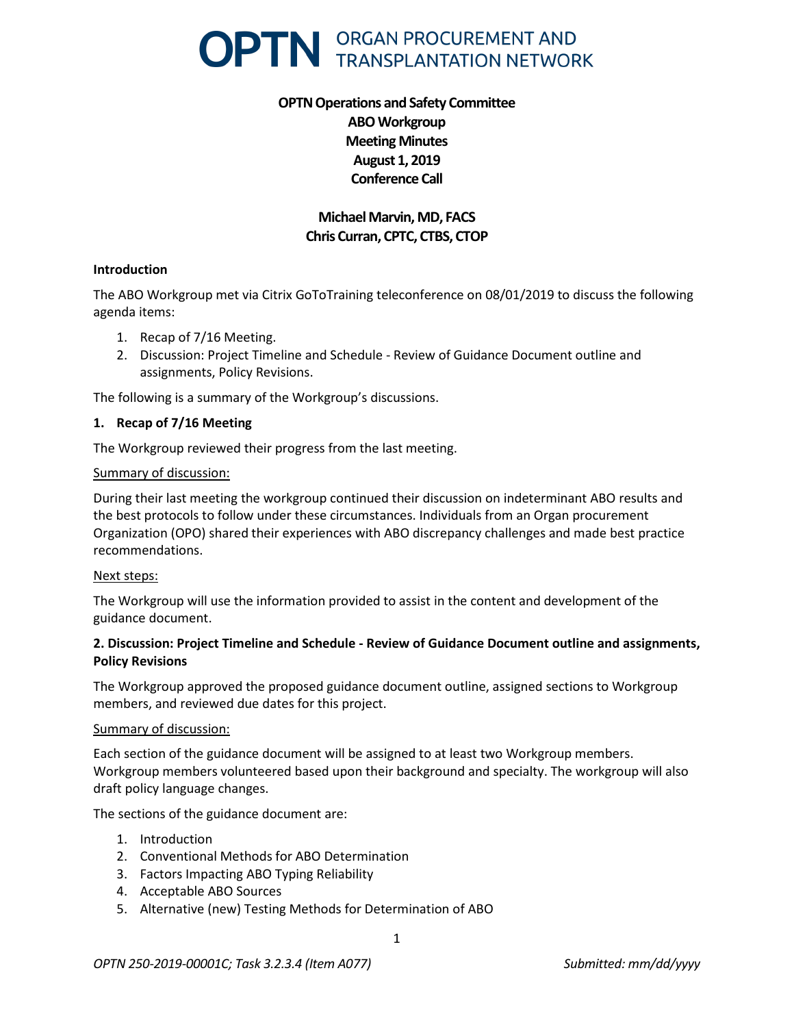

# **OPTN Operations and Safety Committee ABO Workgroup Meeting Minutes August 1, 2019 Conference Call**

## **Michael Marvin, MD, FACS Chris Curran, CPTC, CTBS, CTOP**

### **Introduction**

The ABO Workgroup met via Citrix GoToTraining teleconference on 08/01/2019 to discuss the following agenda items:

- 1. Recap of 7/16 Meeting.
- 2. Discussion: Project Timeline and Schedule Review of Guidance Document outline and assignments, Policy Revisions.

The following is a summary of the Workgroup's discussions.

#### **1. Recap of 7/16 Meeting**

The Workgroup reviewed their progress from the last meeting.

#### Summary of discussion:

During their last meeting the workgroup continued their discussion on indeterminant ABO results and the best protocols to follow under these circumstances. Individuals from an Organ procurement Organization (OPO) shared their experiences with ABO discrepancy challenges and made best practice recommendations.

#### Next steps:

The Workgroup will use the information provided to assist in the content and development of the guidance document.

#### **2. Discussion: Project Timeline and Schedule - Review of Guidance Document outline and assignments, Policy Revisions**

The Workgroup approved the proposed guidance document outline, assigned sections to Workgroup members, and reviewed due dates for this project.

#### Summary of discussion:

Each section of the guidance document will be assigned to at least two Workgroup members. Workgroup members volunteered based upon their background and specialty. The workgroup will also draft policy language changes.

The sections of the guidance document are:

- 1. Introduction
- 2. Conventional Methods for ABO Determination
- 3. Factors Impacting ABO Typing Reliability
- 4. Acceptable ABO Sources
- 5. Alternative (new) Testing Methods for Determination of ABO